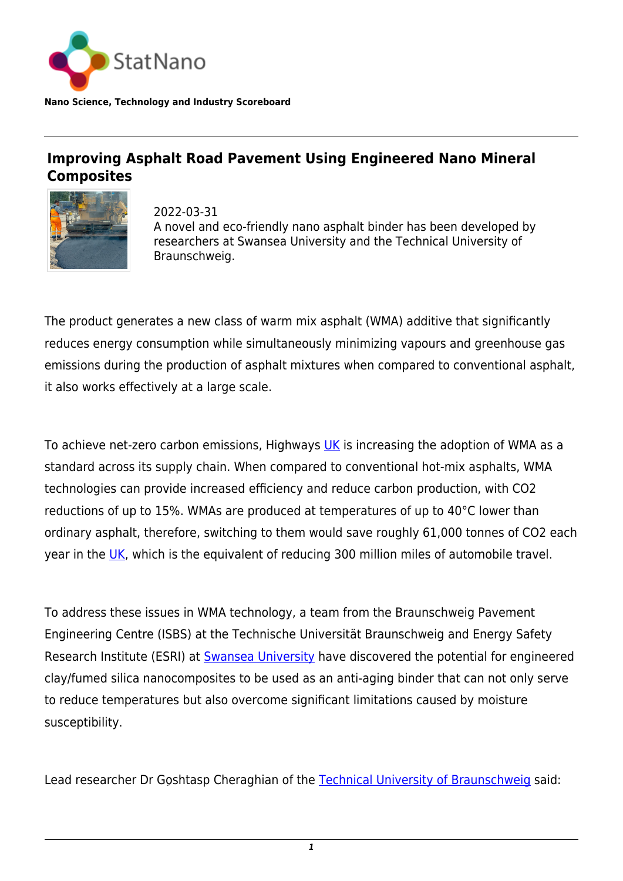

**Nano Science, Technology and Industry Scoreboard**

## **Improving Asphalt Road Pavement Using Engineered Nano Mineral Composites**



2022-03-31 A novel and eco-friendly nano asphalt binder has been developed by researchers at Swansea University and the Technical University of Braunschweig.

The product generates a new class of warm mix asphalt (WMA) additive that significantly reduces energy consumption while simultaneously minimizing vapours and greenhouse gas emissions during the production of asphalt mixtures when compared to conventional asphalt, it also works effectively at a large scale.

To achieve net-zero carbon emissions, Highways [UK](http://statnano.com/country/UK) is increasing the adoption of WMA as a standard across its supply chain. When compared to conventional hot-mix asphalts, WMA technologies can provide increased efficiency and reduce carbon production, with CO2 reductions of up to 15%. WMAs are produced at temperatures of up to 40°C lower than ordinary asphalt, therefore, switching to them would save roughly 61,000 tonnes of CO2 each year in the [UK](http://statnano.com/country/UK), which is the equivalent of reducing 300 million miles of automobile travel.

To address these issues in WMA technology, a team from the Braunschweig Pavement Engineering Centre (ISBS) at the Technische Universität Braunschweig and Energy Safety Research Institute (ESRI) at [Swansea University](https://statnano.com/org/Swansea-University) have discovered the potential for engineered clay/fumed silica nanocomposites to be used as an anti-aging binder that can not only serve to reduce temperatures but also overcome significant limitations caused by moisture susceptibility.

Lead researcher Dr Goshtasp Cheraghian of the [Technical University of Braunschweig](https://statnano.com/org/Braunschweig-University-of-Technology) said: